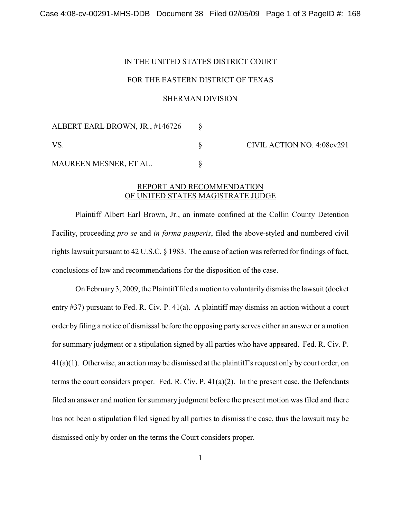# IN THE UNITED STATES DISTRICT COURT

## FOR THE EASTERN DISTRICT OF TEXAS

## SHERMAN DIVISION

ALBERT EARL BROWN, JR., #146726 § VS. S CIVIL ACTION NO. 4:08cv291 MAUREEN MESNER, ET AL.

# REPORT AND RECOMMENDATION OF UNITED STATES MAGISTRATE JUDGE

Plaintiff Albert Earl Brown, Jr., an inmate confined at the Collin County Detention Facility, proceeding *pro se* and *in forma pauperis*, filed the above-styled and numbered civil rights lawsuit pursuant to 42 U.S.C. § 1983. The cause of action was referred for findings of fact, conclusions of law and recommendations for the disposition of the case.

On February 3, 2009, the Plaintiff filed a motion to voluntarily dismiss the lawsuit (docket entry #37) pursuant to Fed. R. Civ. P. 41(a). A plaintiff may dismiss an action without a court order by filing a notice of dismissal before the opposing party serves either an answer or a motion for summary judgment or a stipulation signed by all parties who have appeared. Fed. R. Civ. P. 41(a)(1). Otherwise, an action may be dismissed at the plaintiff's request only by court order, on terms the court considers proper. Fed. R. Civ. P. 41(a)(2). In the present case, the Defendants filed an answer and motion for summary judgment before the present motion was filed and there has not been a stipulation filed signed by all parties to dismiss the case, thus the lawsuit may be dismissed only by order on the terms the Court considers proper.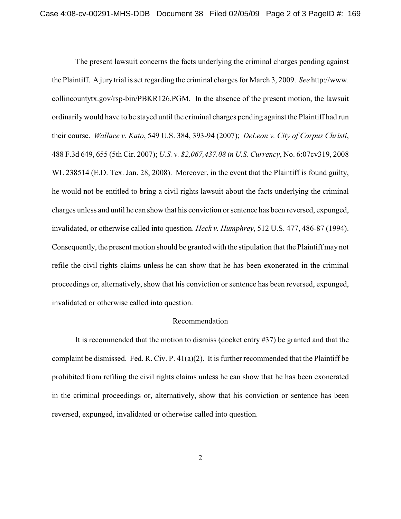The present lawsuit concerns the facts underlying the criminal charges pending against the Plaintiff. A jury trial is set regarding the criminal charges for March 3, 2009. *See* http://www. collincountytx.gov/rsp-bin/PBKR126.PGM. In the absence of the present motion, the lawsuit ordinarily would have to be stayed until the criminal charges pending against the Plaintiff had run their course. *Wallace v. Kato*, 549 U.S. 384, 393-94 (2007); *DeLeon v. City of Corpus Christi*, 488 F.3d 649, 655 (5th Cir. 2007); *U.S. v. \$2,067,437.08 in U.S. Currency*, No. 6:07cv319, 2008 WL 238514 (E.D. Tex. Jan. 28, 2008). Moreover, in the event that the Plaintiff is found guilty, he would not be entitled to bring a civil rights lawsuit about the facts underlying the criminal charges unless and until he can show that his conviction orsentence has been reversed, expunged, invalidated, or otherwise called into question. *Heck v. Humphrey*, 512 U.S. 477, 486-87 (1994). Consequently, the present motion should be granted with the stipulation that the Plaintiff may not refile the civil rights claims unless he can show that he has been exonerated in the criminal proceedings or, alternatively, show that his conviction or sentence has been reversed, expunged, invalidated or otherwise called into question.

## Recommendation

It is recommended that the motion to dismiss (docket entry #37) be granted and that the complaint be dismissed. Fed. R. Civ. P. 41(a)(2). It is further recommended that the Plaintiff be prohibited from refiling the civil rights claims unless he can show that he has been exonerated in the criminal proceedings or, alternatively, show that his conviction or sentence has been reversed, expunged, invalidated or otherwise called into question.